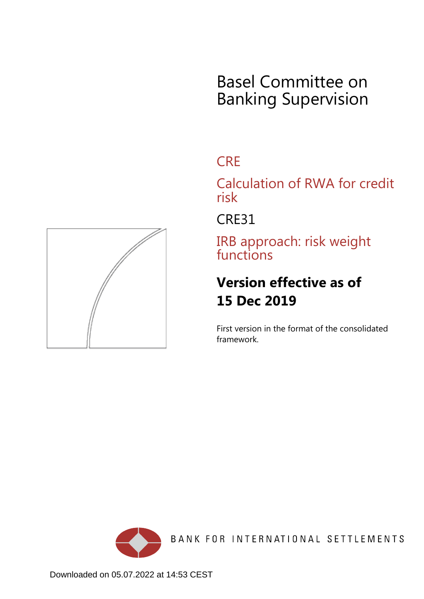# Basel Committee on Banking Supervision

# **CRE**

Calculation of RWA for credit risk

CRE31

IRB approach: risk weight functions

# **Version effective as of 15 Dec 2019**

First version in the format of the consolidated framework.



BANK FOR INTERNATIONAL SETTLEMENTS

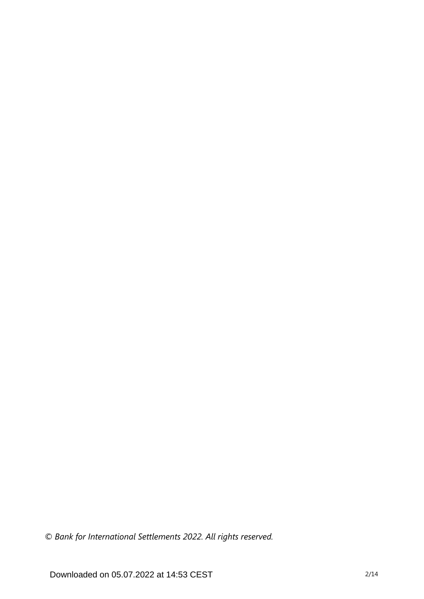*© Bank for International Settlements 2022. All rights reserved.*

Downloaded on 05.07.2022 at 14:53 CEST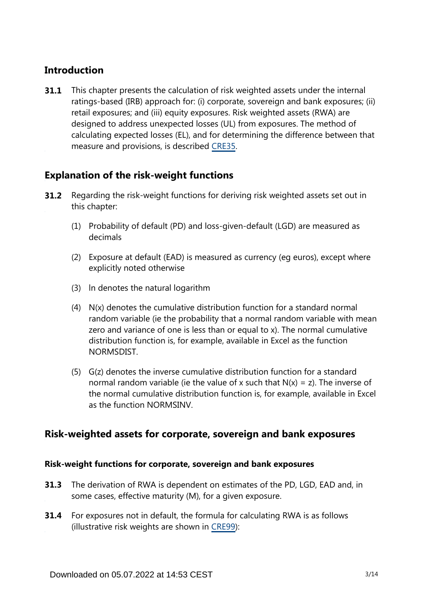# **Introduction**

This chapter presents the calculation of risk weighted assets under the internal ratings-based (IRB) approach for: (i) corporate, sovereign and bank exposures; (ii) retail exposures; and (iii) equity exposures. Risk weighted assets (RWA) are designed to address unexpected losses (UL) from exposures. The method of calculating expected losses (EL), and for determining the difference between that measure and provisions, is described [CRE35.](https://www.bis.org/basel_framework/chapter/CRE/35.htm?tldate=20191231&inforce=20191215&published=20191215) **31.1**

# **Explanation of the risk-weight functions**

- Regarding the risk-weight functions for deriving risk weighted assets set out in this chapter: **31.2**
	- (1) Probability of default (PD) and loss-given-default (LGD) are measured as decimals
	- (2) Exposure at default (EAD) is measured as currency (eg euros), except where explicitly noted otherwise
	- (3) ln denotes the natural logarithm
	- (4) N(x) denotes the cumulative distribution function for a standard normal random variable (ie the probability that a normal random variable with mean zero and variance of one is less than or equal to x). The normal cumulative distribution function is, for example, available in Excel as the function NORMSDIST.
	- (5) G(z) denotes the inverse cumulative distribution function for a standard normal random variable (ie the value of x such that  $N(x) = z$ ). The inverse of the normal cumulative distribution function is, for example, available in Excel as the function NORMSINV.

# **Risk-weighted assets for corporate, sovereign and bank exposures**

## **Risk-weight functions for corporate, sovereign and bank exposures**

- **31.3** The derivation of RWA is dependent on estimates of the PD, LGD, EAD and, in some cases, effective maturity (M), for a given exposure.
- **31.4** For exposures not in default, the formula for calculating RWA is as follows (illustrative risk weights are shown in [CRE99](https://www.bis.org/basel_framework/chapter/CRE/99.htm?tldate=20191231&inforce=20191215&published=20191215)):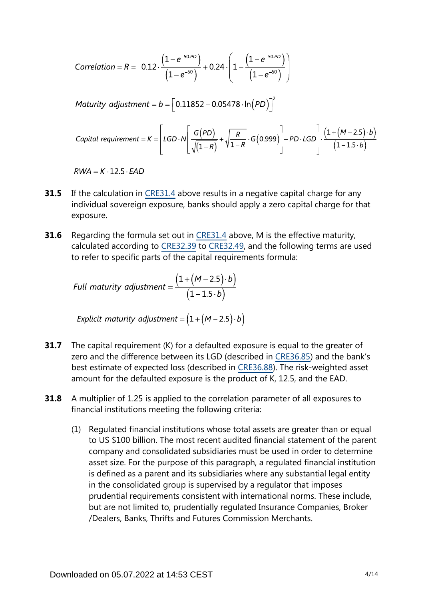Correlation = R = 0.12 
$$
\cdot \frac{(1-e^{-50.PD})}{(1-e^{-50})}
$$
 + 0.24  $\cdot \left(1 - \frac{(1-e^{-50.PD})}{(1-e^{-50})}\right)$ 

Maturity adjustment =  $b = \left[ 0.11852 - 0.05478 \cdot \ln(PD) \right]^2$ 

\n
$$
\text{Capital requirement} = K = \left[ \text{LGD} \cdot N \left[ \frac{G(PD)}{\sqrt{(1-R)}} + \sqrt{\frac{R}{1-R}} \cdot G(0.999) \right] - PD \cdot \text{LGD} \right] \cdot \frac{\left( 1 + (M - 2.5) \cdot b \right)}{\left( 1 - 1.5 \cdot b \right)}
$$
\n

 $RWA = K \cdot 12.5 \cdot EAD$ 

- If the calculation in [CRE31.4](https://www.bis.org/basel_framework/chapter/CRE/31.htm?tldate=20191231&inforce=20191215&published=20191215#paragraph_CRE_31_20191215_31_4) above results in a negative capital charge for any individual sovereign exposure, banks should apply a zero capital charge for that exposure. **31.5**
- Regarding the formula set out in [CRE31.4](https://www.bis.org/basel_framework/chapter/CRE/31.htm?tldate=20191231&inforce=20191215&published=20191215#paragraph_CRE_31_20191215_31_4) above, M is the effective maturity, calculated according to [CRE32.39](https://www.bis.org/basel_framework/chapter/CRE/32.htm?tldate=20191231&inforce=20191215&published=20191215#paragraph_CRE_32_20191215_32_39) to [CRE32.49](https://www.bis.org/basel_framework/chapter/CRE/32.htm?tldate=20191231&inforce=20191215&published=20191215#paragraph_CRE_32_20191215_32_49), and the following terms are used to refer to specific parts of the capital requirements formula: **31.6**

Full maturity adjustment = 
$$
\frac{(1 + (M - 2.5) \cdot b)}{(1 - 1.5 \cdot b)}
$$

Explicit maturity adjustment =  $(1 + (M - 2.5) \cdot b)$ 

- The capital requirement (K) for a defaulted exposure is equal to the greater of zero and the difference between its LGD (described in [CRE36.85\)](https://www.bis.org/basel_framework/chapter/CRE/36.htm?tldate=20191231&inforce=20191215&published=20191215#paragraph_CRE_36_20191215_36_85) and the bank's best estimate of expected loss (described in [CRE36.88](https://www.bis.org/basel_framework/chapter/CRE/36.htm?tldate=20191231&inforce=20191215&published=20191215#paragraph_CRE_36_20191215_36_88)). The risk-weighted asset amount for the defaulted exposure is the product of K, 12.5, and the EAD. **31.7**
- A multiplier of 1.25 is applied to the correlation parameter of all exposures to financial institutions meeting the following criteria: **31.8**
	- (1) Regulated financial institutions whose total assets are greater than or equal to US \$100 billion. The most recent audited financial statement of the parent company and consolidated subsidiaries must be used in order to determine asset size. For the purpose of this paragraph, a regulated financial institution is defined as a parent and its subsidiaries where any substantial legal entity in the consolidated group is supervised by a regulator that imposes prudential requirements consistent with international norms. These include, but are not limited to, prudentially regulated Insurance Companies, Broker /Dealers, Banks, Thrifts and Futures Commission Merchants.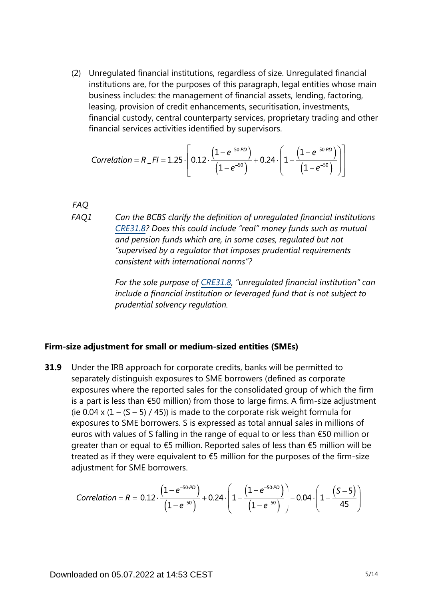(2) Unregulated financial institutions, regardless of size. Unregulated financial institutions are, for the purposes of this paragraph, legal entities whose main business includes: the management of financial assets, lending, factoring, leasing, provision of credit enhancements, securitisation, investments, financial custody, central counterparty services, proprietary trading and other financial services activities identified by supervisors.

Correlation = 
$$
R_{F} = 1.25 \cdot \left[ 0.12 \cdot \frac{\left(1 - e^{-50.9D}\right)}{\left(1 - e^{-50}\right)} + 0.24 \cdot \left(1 - \frac{\left(1 - e^{-50.9D}\right)}{\left(1 - e^{-50}\right)}\right) \right]
$$

*FAQ*

*Can the BCBS clarify the definition of unregulated financial institutions [CRE31.8](https://www.bis.org/basel_framework/chapter/CRE/31.htm?tldate=20191231&inforce=20191215&published=20191215#paragraph_CRE_31_20191215_31_8)? Does this could include "real" money funds such as mutual and pension funds which are, in some cases, regulated but not "supervised by a regulator that imposes prudential requirements consistent with international norms"? FAQ1*

> *For the sole purpose of [CRE31.8,](https://www.bis.org/basel_framework/chapter/CRE/31.htm?tldate=20191231&inforce=20191215&published=20191215#paragraph_CRE_31_20191215_31_8) "unregulated financial institution" can include a financial institution or leveraged fund that is not subject to prudential solvency regulation.*

#### **Firm-size adjustment for small or medium-sized entities (SMEs)**

Under the IRB approach for corporate credits, banks will be permitted to separately distinguish exposures to SME borrowers (defined as corporate exposures where the reported sales for the consolidated group of which the firm is a part is less than €50 million) from those to large firms. A firm-size adjustment (ie 0.04 x  $(1 - (5 - 5) / 45)$ ) is made to the corporate risk weight formula for exposures to SME borrowers. S is expressed as total annual sales in millions of euros with values of S falling in the range of equal to or less than €50 million or greater than or equal to €5 million. Reported sales of less than €5 million will be treated as if they were equivalent to  $\epsilon$ 5 million for the purposes of the firm-size adjustment for SME borrowers. **31.9**

Correlation = R = 0.12 
$$
\cdot \frac{(1 - e^{-50.9D})}{(1 - e^{-50})}
$$
 + 0.24  $\cdot \left(1 - \frac{(1 - e^{-50.9D})}{(1 - e^{-50})}\right)$  - 0.04  $\cdot \left(1 - \frac{(S - 5)}{45}\right)$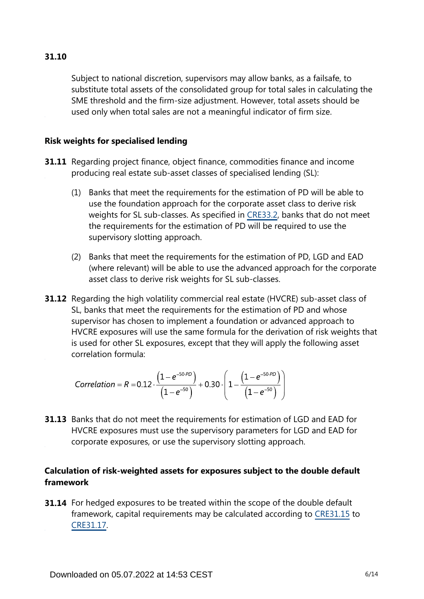Subject to national discretion, supervisors may allow banks, as a failsafe, to substitute total assets of the consolidated group for total sales in calculating the SME threshold and the firm-size adjustment. However, total assets should be used only when total sales are not a meaningful indicator of firm size.

### **Risk weights for specialised lending**

- **31.11** Regarding project finance, object finance, commodities finance and income producing real estate sub-asset classes of specialised lending (SL):
	- (1) Banks that meet the requirements for the estimation of PD will be able to use the foundation approach for the corporate asset class to derive risk weights for SL sub-classes. As specified in [CRE33.2,](https://www.bis.org/basel_framework/chapter/CRE/33.htm?tldate=20191231&inforce=20191215&published=20191215#paragraph_CRE_33_20191215_33_2) banks that do not meet the requirements for the estimation of PD will be required to use the supervisory slotting approach.
	- (2) Banks that meet the requirements for the estimation of PD, LGD and EAD (where relevant) will be able to use the advanced approach for the corporate asset class to derive risk weights for SL sub-classes.
- **31.12** Regarding the high volatility commercial real estate (HVCRE) sub-asset class of SL, banks that meet the requirements for the estimation of PD and whose supervisor has chosen to implement a foundation or advanced approach to HVCRE exposures will use the same formula for the derivation of risk weights that is used for other SL exposures, except that they will apply the following asset correlation formula:

Correlation = 
$$
R = 0.12 \cdot \frac{(1 - e^{-50 \cdot PD})}{(1 - e^{-50})} + 0.30 \cdot \left(1 - \frac{(1 - e^{-50 \cdot PD})}{(1 - e^{-50})}\right)
$$

**31.13** Banks that do not meet the requirements for estimation of LGD and EAD for HVCRE exposures must use the supervisory parameters for LGD and EAD for corporate exposures, or use the supervisory slotting approach.

# **Calculation of risk-weighted assets for exposures subject to the double default framework**

**31.14** For hedged exposures to be treated within the scope of the double default framework, capital requirements may be calculated according to [CRE31.15](https://www.bis.org/basel_framework/chapter/CRE/31.htm?tldate=20191231&inforce=20191215&published=20191215#paragraph_CRE_31_20191215_31_15) to [CRE31.17](https://www.bis.org/basel_framework/chapter/CRE/31.htm?tldate=20191231&inforce=20191215&published=20191215#paragraph_CRE_31_20191215_31_17).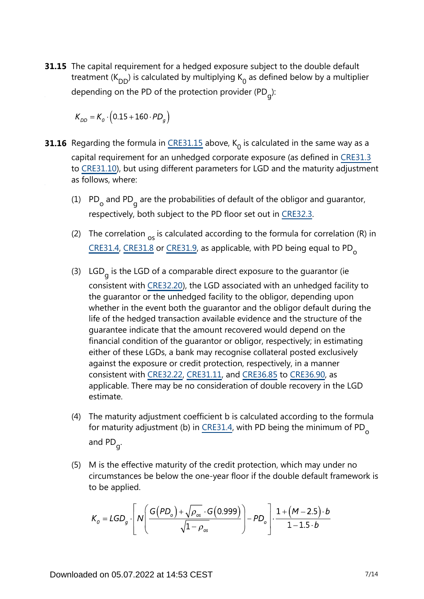**31.15** The capital requirement for a hedged exposure subject to the double default treatment ( $K_{DD}$ ) is calculated by multiplying  $K_0$  as defined below by a multiplier depending on the PD of the protection provider (PD<sub>g</sub>):

$$
K_{DD} = K_o \cdot (0.15 + 160 \cdot PD_g)
$$

- **31.16** Regarding the formula in  $\frac{\text{CRE31.15}}{\text{c}}$  above, K<sub>0</sub> is calculated in the same way as a capital requirement for an unhedged corporate exposure (as defined in [CRE31.3](https://www.bis.org/basel_framework/chapter/CRE/31.htm?tldate=20191231&inforce=20191215&published=20191215#paragraph_CRE_31_20191215_31_3) to [CRE31.10\)](https://www.bis.org/basel_framework/chapter/CRE/31.htm?tldate=20191231&inforce=20191215&published=20191215#paragraph_CRE_31_20191215_31_10), but using different parameters for LGD and the maturity adjustment as follows, where:
	- (1)  $PD_{o}$  and PD<sub>g</sub> are the probabilities of default of the obligor and guarantor, respectively, both subject to the PD floor set out in [CRE32.3](https://www.bis.org/basel_framework/chapter/CRE/32.htm?tldate=20191231&inforce=20191215&published=20191215#paragraph_CRE_32_20191215_32_3).
	- (2) The correlation  $_{\text{os}}$  is calculated according to the formula for correlation (R) in [CRE31.4](https://www.bis.org/basel_framework/chapter/CRE/31.htm?tldate=20191231&inforce=20191215&published=20191215#paragraph_CRE_31_20191215_31_4), [CRE31.8](https://www.bis.org/basel_framework/chapter/CRE/31.htm?tldate=20191231&inforce=20191215&published=20191215#paragraph_CRE_31_20191215_31_8) or [CRE31.9](https://www.bis.org/basel_framework/chapter/CRE/31.htm?tldate=20191231&inforce=20191215&published=20191215#paragraph_CRE_31_20191215_31_9), as applicable, with PD being equal to PD<sub>o</sub>
	- (3) LGD<sub>g</sub> is the LGD of a comparable direct exposure to the guarantor (ie consistent with [CRE32.20](https://www.bis.org/basel_framework/chapter/CRE/32.htm?tldate=20191231&inforce=20191215&published=20191215#paragraph_CRE_32_20191215_32_20)), the LGD associated with an unhedged facility to the guarantor or the unhedged facility to the obligor, depending upon whether in the event both the guarantor and the obligor default during the life of the hedged transaction available evidence and the structure of the guarantee indicate that the amount recovered would depend on the financial condition of the guarantor or obligor, respectively; in estimating either of these LGDs, a bank may recognise collateral posted exclusively against the exposure or credit protection, respectively, in a manner consistent with [CRE32.22](https://www.bis.org/basel_framework/chapter/CRE/32.htm?tldate=20191231&inforce=20191215&published=20191215#paragraph_CRE_32_20191215_32_22), [CRE31.11](https://www.bis.org/basel_framework/chapter/CRE/31.htm?tldate=20191231&inforce=20191215&published=20191215#paragraph_CRE_31_20191215_31_11), and [CRE36.85](https://www.bis.org/basel_framework/chapter/CRE/36.htm?tldate=20191231&inforce=20191215&published=20191215#paragraph_CRE_36_20191215_36_85) to [CRE36.90,](https://www.bis.org/basel_framework/chapter/CRE/36.htm?tldate=20191231&inforce=20191215&published=20191215#paragraph_CRE_36_20191215_36_90) as applicable. There may be no consideration of double recovery in the LGD estimate.
	- (4) The maturity adjustment coefficient b is calculated according to the formula for maturity adjustment (b) in [CRE31.4](https://www.bis.org/basel_framework/chapter/CRE/31.htm?tldate=20191231&inforce=20191215&published=20191215#paragraph_CRE_31_20191215_31_4), with PD being the minimum of PD<sub>o</sub> and PD<sub>g</sub>.
	- (5) M is the effective maturity of the credit protection, which may under no circumstances be below the one-year floor if the double default framework is to be applied.

$$
K_o = LGD_g \cdot \left[ N \left( \frac{G(PD_o) + \sqrt{\rho_{os}} \cdot G(0.999)}{\sqrt{1 - \rho_{os}}} \right) - PD_o \right] \cdot \frac{1 + (M - 2.5) \cdot b}{1 - 1.5 \cdot b}
$$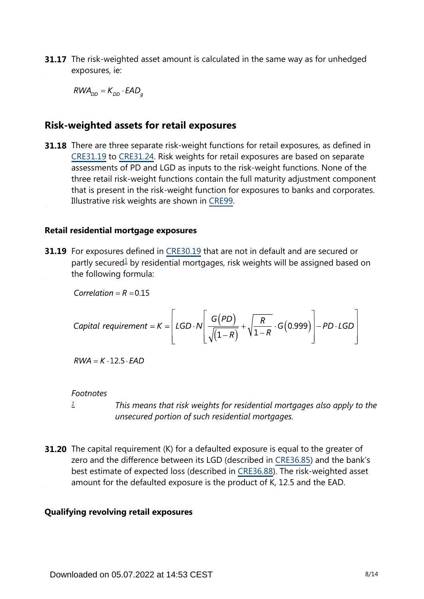**31.17** The risk-weighted asset amount is calculated in the same way as for unhedged exposures, ie:

 $RWA_{DD} = K_{DD} \cdot EAD_a$ 

# **Risk-weighted assets for retail exposures**

**31.18** There are three separate risk-weight functions for retail exposures, as defined in [CRE31.19](https://www.bis.org/basel_framework/chapter/CRE/31.htm?tldate=20191231&inforce=20191215&published=20191215#paragraph_CRE_31_20191215_31_19) to [CRE31.24](https://www.bis.org/basel_framework/chapter/CRE/31.htm?tldate=20191231&inforce=20191215&published=20191215#paragraph_CRE_31_20191215_31_24). Risk weights for retail exposures are based on separate assessments of PD and LGD as inputs to the risk-weight functions. None of the three retail risk-weight functions contain the full maturity adjustment component that is present in the risk-weight function for exposures to banks and corporates. Illustrative risk weights are shown in [CRE99](https://www.bis.org/basel_framework/chapter/CRE/99.htm?tldate=20191231&inforce=20191215&published=20191215).

#### **Retail residential mortgage exposures**

<span id="page-7-1"></span>**31.19** For exposures defined in [CRE30.19](https://www.bis.org/basel_framework/chapter/CRE/30.htm?tldate=20191231&inforce=20191215&published=20191215#paragraph_CRE_30_20191215_30_19) that are not in default and are secured or partly secured<sup>[1](#page-7-0)</sup> by residential mortgages, risk weights will be assigned based on the following formula:

Correlation =  $R = 0.15$ 

\n
$$
\text{Capital requirement} = K = \left[ \text{LGD} \cdot N \left[ \frac{G(PD)}{\sqrt{(1-R)}} + \sqrt{\frac{R}{1-R}} \cdot G(0.999) \right] - PD \cdot \text{LGD} \right]
$$
\n

 $RWA = K \cdot 12.5 \cdot EAD$ 

#### *Footnotes*

*[1](#page-7-1)*

*This means that risk weights for residential mortgages also apply to the unsecured portion of such residential mortgages.*

<span id="page-7-0"></span>**31.20** The capital requirement (K) for a defaulted exposure is equal to the greater of zero and the difference between its LGD (described in [CRE36.85\)](https://www.bis.org/basel_framework/chapter/CRE/36.htm?tldate=20191231&inforce=20191215&published=20191215#paragraph_CRE_36_20191215_36_85) and the bank's best estimate of expected loss (described in [CRE36.88](https://www.bis.org/basel_framework/chapter/CRE/36.htm?tldate=20191231&inforce=20191215&published=20191215#paragraph_CRE_36_20191215_36_88)). The risk-weighted asset amount for the defaulted exposure is the product of K, 12.5 and the EAD.

#### **Qualifying revolving retail exposures**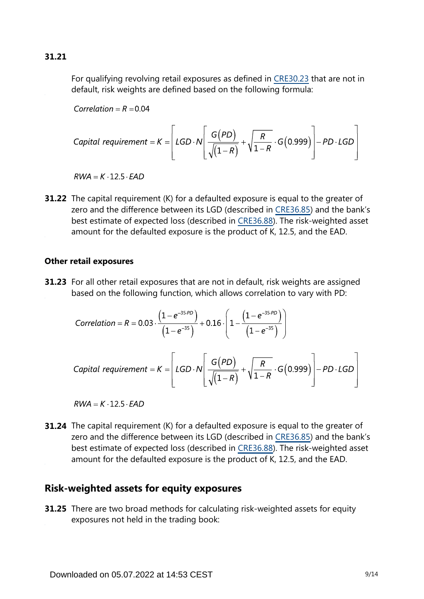For qualifying revolving retail exposures as defined in [CRE30.23](https://www.bis.org/basel_framework/chapter/CRE/30.htm?tldate=20191231&inforce=20191215&published=20191215#paragraph_CRE_30_20191215_30_23) that are not in default, risk weights are defined based on the following formula:

Correlation =  $R = 0.04$ 

\n
$$
\text{Capital requirement} = K = \left[ \text{LGD} \cdot N \left[ \frac{G(PD)}{\sqrt{\left(1 - R\right)}} + \sqrt{\frac{R}{1 - R}} \cdot G\left(0.999\right) \right] - PD \cdot \text{LGD} \right]
$$
\n

 $RWA = K \cdot 12.5 \cdot FAD$ 

**31.22** The capital requirement (K) for a defaulted exposure is equal to the greater of zero and the difference between its LGD (described in [CRE36.85\)](https://www.bis.org/basel_framework/chapter/CRE/36.htm?tldate=20191231&inforce=20191215&published=20191215#paragraph_CRE_36_20191215_36_85) and the bank's best estimate of expected loss (described in [CRE36.88](https://www.bis.org/basel_framework/chapter/CRE/36.htm?tldate=20191231&inforce=20191215&published=20191215#paragraph_CRE_36_20191215_36_88)). The risk-weighted asset amount for the defaulted exposure is the product of K, 12.5, and the EAD.

#### **Other retail exposures**

**31.23** For all other retail exposures that are not in default, risk weights are assigned based on the following function, which allows correlation to vary with PD:

Correlation = R = 0.03 
$$
\cdot \frac{\left(1-e^{-35PD}\right)}{\left(1-e^{-35}\right)}
$$
 + 0.16  $\cdot \left(1-\frac{\left(1-e^{-35PD}\right)}{\left(1-e^{-35}\right)}\right)$   
Capital requirement = K = 
$$
\left[ LGD \cdot N \left[ \frac{G(PD)}{\sqrt{\left(1-R\right)}} + \sqrt{\frac{R}{1-R}} \cdot G(0.999) \right] - PD \cdot LGD \right]
$$

 $RWA = K \cdot 12.5 \cdot EAD$ 

**31.24** The capital requirement (K) for a defaulted exposure is equal to the greater of zero and the difference between its LGD (described in [CRE36.85\)](https://www.bis.org/basel_framework/chapter/CRE/36.htm?tldate=20191231&inforce=20191215&published=20191215#paragraph_CRE_36_20191215_36_85) and the bank's best estimate of expected loss (described in [CRE36.88](https://www.bis.org/basel_framework/chapter/CRE/36.htm?tldate=20191231&inforce=20191215&published=20191215#paragraph_CRE_36_20191215_36_88)). The risk-weighted asset amount for the defaulted exposure is the product of K, 12.5, and the EAD.

# **Risk-weighted assets for equity exposures**

**31.25** There are two broad methods for calculating risk-weighted assets for equity exposures not held in the trading book: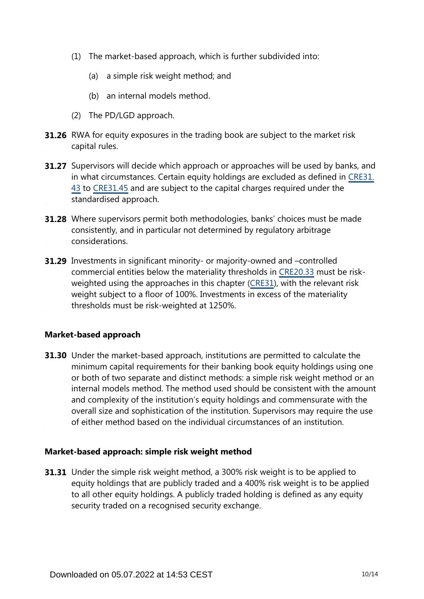- (1) The market-based approach, which is further subdivided into:
	- (a) a simple risk weight method; and
	- (b) an internal models method.
- (2) The PD/LGD approach.
- **31.26** RWA for equity exposures in the trading book are subject to the market risk capital rules.
- **31.27** Supervisors will decide which approach or approaches will be used by banks, and in what circumstances. Certain equity holdings are excluded as defined in [CRE31.](https://www.bis.org/basel_framework/chapter/CRE/31.htm?tldate=20191231&inforce=20191215&published=20191215#paragraph_CRE_31_20191215_31_43) [43](https://www.bis.org/basel_framework/chapter/CRE/31.htm?tldate=20191231&inforce=20191215&published=20191215#paragraph_CRE_31_20191215_31_43) to [CRE31.45](https://www.bis.org/basel_framework/chapter/CRE/31.htm?tldate=20191231&inforce=20191215&published=20191215#paragraph_CRE_31_20191215_31_45) and are subject to the capital charges required under the standardised approach.
- **31.28** Where supervisors permit both methodologies, banks' choices must be made consistently, and in particular not determined by regulatory arbitrage considerations.
- **31.29** Investments in significant minority- or majority-owned and -controlled commercial entities below the materiality thresholds in [CRE20.33](https://www.bis.org/basel_framework/chapter/CRE/20.htm?tldate=20191231&inforce=20191215&published=20191215#paragraph_CRE_20_20191215_20_33) must be riskweighted using the approaches in this chapter [\(CRE31\)](https://www.bis.org/basel_framework/chapter/CRE/31.htm?tldate=20191231&inforce=20191215&published=20191215), with the relevant risk weight subject to a floor of 100%. Investments in excess of the materiality thresholds must be risk-weighted at 1250%.

## **Market-based approach**

**31.30** Under the market-based approach, institutions are permitted to calculate the minimum capital requirements for their banking book equity holdings using one or both of two separate and distinct methods: a simple risk weight method or an internal models method. The method used should be consistent with the amount and complexity of the institution's equity holdings and commensurate with the overall size and sophistication of the institution. Supervisors may require the use of either method based on the individual circumstances of an institution.

#### **Market-based approach: simple risk weight method**

**31.31** Under the simple risk weight method, a 300% risk weight is to be applied to equity holdings that are publicly traded and a 400% risk weight is to be applied to all other equity holdings. A publicly traded holding is defined as any equity security traded on a recognised security exchange.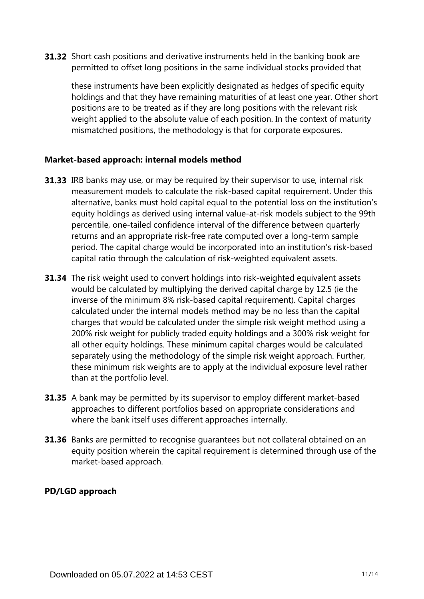**31.32** Short cash positions and derivative instruments held in the banking book are permitted to offset long positions in the same individual stocks provided that

these instruments have been explicitly designated as hedges of specific equity holdings and that they have remaining maturities of at least one year. Other short positions are to be treated as if they are long positions with the relevant risk weight applied to the absolute value of each position. In the context of maturity mismatched positions, the methodology is that for corporate exposures.

## **Market-based approach: internal models method**

- **31.33** IRB banks may use, or may be required by their supervisor to use, internal risk measurement models to calculate the risk-based capital requirement. Under this alternative, banks must hold capital equal to the potential loss on the institution's equity holdings as derived using internal value-at-risk models subject to the 99th percentile, one-tailed confidence interval of the difference between quarterly returns and an appropriate risk-free rate computed over a long-term sample period. The capital charge would be incorporated into an institution's risk-based capital ratio through the calculation of risk-weighted equivalent assets.
- **31.34** The risk weight used to convert holdings into risk-weighted equivalent assets would be calculated by multiplying the derived capital charge by 12.5 (ie the inverse of the minimum 8% risk-based capital requirement). Capital charges calculated under the internal models method may be no less than the capital charges that would be calculated under the simple risk weight method using a 200% risk weight for publicly traded equity holdings and a 300% risk weight for all other equity holdings. These minimum capital charges would be calculated separately using the methodology of the simple risk weight approach. Further, these minimum risk weights are to apply at the individual exposure level rather than at the portfolio level.
- **31.35** A bank may be permitted by its supervisor to employ different market-based approaches to different portfolios based on appropriate considerations and where the bank itself uses different approaches internally.
- **31.36** Banks are permitted to recognise guarantees but not collateral obtained on an equity position wherein the capital requirement is determined through use of the market-based approach.

## **PD/LGD approach**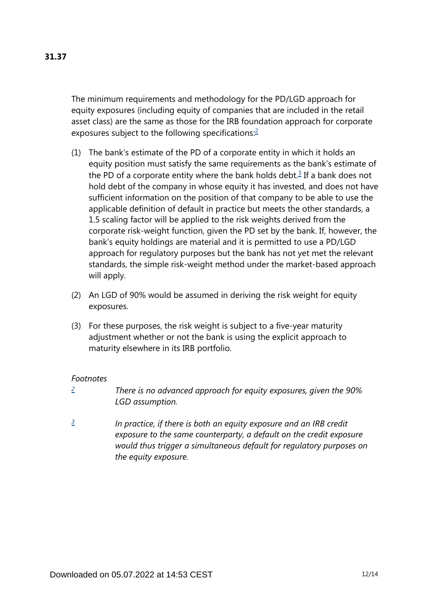The minimum requirements and methodology for the PD/LGD approach for equity exposures (including equity of companies that are included in the retail asset class) are the same as those for the IRB foundation approach for corporate exposures subject to the following specifications:<sup>[2](#page-11-0)</sup>

- <span id="page-11-3"></span><span id="page-11-2"></span>(1) The bank's estimate of the PD of a corporate entity in which it holds an equity position must satisfy the same requirements as the bank's estimate of the PD of a corporate entity where the bank holds debt. $3$  If a bank does not hold debt of the company in whose equity it has invested, and does not have sufficient information on the position of that company to be able to use the applicable definition of default in practice but meets the other standards, a 1.5 scaling factor will be applied to the risk weights derived from the corporate risk-weight function, given the PD set by the bank. If, however, the bank's equity holdings are material and it is permitted to use a PD/LGD approach for regulatory purposes but the bank has not yet met the relevant standards, the simple risk-weight method under the market-based approach will apply.
- (2) An LGD of 90% would be assumed in deriving the risk weight for equity exposures.
- (3) For these purposes, the risk weight is subject to a five-year maturity adjustment whether or not the bank is using the explicit approach to maturity elsewhere in its IRB portfolio.

#### *Footnotes*

- <span id="page-11-0"></span>*There is no advanced approach for equity exposures, given the 90% LGD assumption. [2](#page-11-2)*
- <span id="page-11-1"></span>*In practice, if there is both an equity exposure and an IRB credit exposure to the same counterparty, a default on the credit exposure would thus trigger a simultaneous default for regulatory purposes on the equity exposure. [3](#page-11-3)*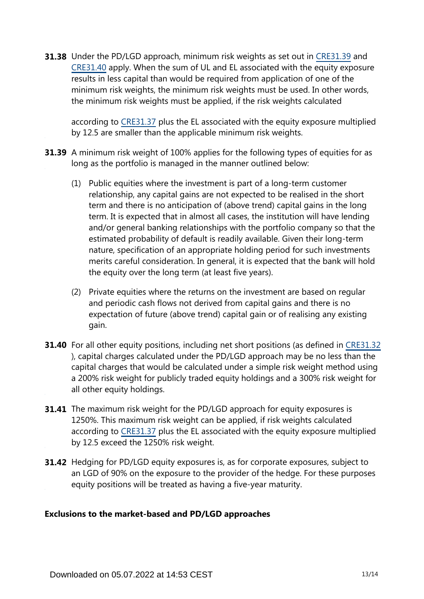**31.38** Under the PD/LGD approach, minimum risk weights as set out in [CRE31.39](https://www.bis.org/basel_framework/chapter/CRE/31.htm?tldate=20191231&inforce=20191215&published=20191215#paragraph_CRE_31_20191215_31_39) and [CRE31.40](https://www.bis.org/basel_framework/chapter/CRE/31.htm?tldate=20191231&inforce=20191215&published=20191215#paragraph_CRE_31_20191215_31_40) apply. When the sum of UL and EL associated with the equity exposure results in less capital than would be required from application of one of the minimum risk weights, the minimum risk weights must be used. In other words, the minimum risk weights must be applied, if the risk weights calculated

according to [CRE31.37](https://www.bis.org/basel_framework/chapter/CRE/31.htm?tldate=20191231&inforce=20191215&published=20191215#paragraph_CRE_31_20191215_31_37) plus the EL associated with the equity exposure multiplied by 12.5 are smaller than the applicable minimum risk weights.

- **31.39** A minimum risk weight of 100% applies for the following types of equities for as long as the portfolio is managed in the manner outlined below:
	- (1) Public equities where the investment is part of a long-term customer relationship, any capital gains are not expected to be realised in the short term and there is no anticipation of (above trend) capital gains in the long term. It is expected that in almost all cases, the institution will have lending and/or general banking relationships with the portfolio company so that the estimated probability of default is readily available. Given their long-term nature, specification of an appropriate holding period for such investments merits careful consideration. In general, it is expected that the bank will hold the equity over the long term (at least five years).
	- (2) Private equities where the returns on the investment are based on regular and periodic cash flows not derived from capital gains and there is no expectation of future (above trend) capital gain or of realising any existing gain.
- **31.40** For all other equity positions, including net short positions (as defined in [CRE31.32](https://www.bis.org/basel_framework/chapter/CRE/31.htm?tldate=20191231&inforce=20191215&published=20191215#paragraph_CRE_31_20191215_31_32) ), capital charges calculated under the PD/LGD approach may be no less than the capital charges that would be calculated under a simple risk weight method using a 200% risk weight for publicly traded equity holdings and a 300% risk weight for all other equity holdings.
- **31.41** The maximum risk weight for the PD/LGD approach for equity exposures is 1250%. This maximum risk weight can be applied, if risk weights calculated according to [CRE31.37](https://www.bis.org/basel_framework/chapter/CRE/31.htm?tldate=20191231&inforce=20191215&published=20191215#paragraph_CRE_31_20191215_31_37) plus the EL associated with the equity exposure multiplied by 12.5 exceed the 1250% risk weight.
- **31.42** Hedging for PD/LGD equity exposures is, as for corporate exposures, subject to an LGD of 90% on the exposure to the provider of the hedge. For these purposes equity positions will be treated as having a five-year maturity.

## **Exclusions to the market-based and PD/LGD approaches**